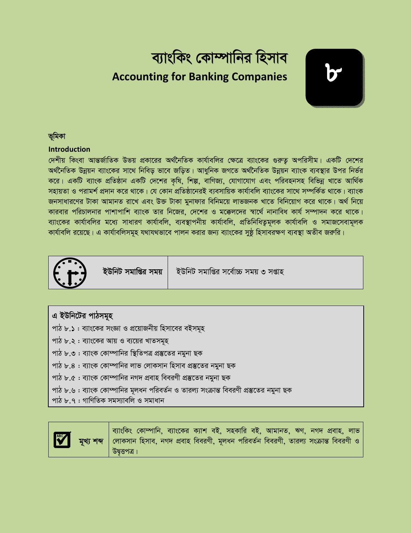## ব্যাংকিং কোম্পানির হিসাব **Accounting for Banking Companies**



### ভূমিকা

### **Introduction**

দেশীয় কিংবা আন্তর্জাতিক উভয় প্রকারের অর্থনৈতিক কার্যাবলির ক্ষেত্রে ব্যাংকের গুরুতু অপরিসীম। একটি দেশের অর্থনৈতিক উন্নয়ন ব্যাংকের সাথে নিবিড় ভাবে জড়িত। আধুনিক জগতে অর্থনৈতিক উন্নয়ন ব্যাংক ব্যবস্থার উপর নির্ভর করে। একটি ব্যাংক প্রতিষ্ঠান একটি দেশের কৃষি, শিল্প, বাণিজ্য, যোগাযোগ এবং পরিবহনসহ বিভিন্ন খাতে আর্থিক সহায়তা ও পরামর্শ প্রদান করে থাকে। যে কোন প্রতিষ্ঠানেরই ব্যবসায়িক কার্যাবলি ব্যাংকের সাথে সম্পর্কিত থাকে। ব্যাংক জনসাধারণের টাকা আমানত রাখে এবং উক্ত টাকা মুনাফার বিনিময়ে লাভজনক খাতে বিনিয়োগ করে থাকে। অর্থ নিয়ে কারবার পরিচালনার পাশাপাশি ব্যাংক তার নিজের, দেশের ও মক্কেলদের স্বার্থে নানাবিধ কার্য সম্পাদন করে থাকে। ব্যাংকের কার্যাবলির মধ্যে সাধারণ কার্যাবলি, ব্যবস্থাপনীয় কার্যাবলি, প্রতিনিধিতুমূলক কার্যাবলি ও সমাজসেবামূলক কার্যাবলি রয়েছে। এ কার্যাবলিসমূহ যথাযথভাবে পালন করার জন্য ব্যাংকের সুষ্ঠু হিসাবরক্ষণ ব্যবস্থা অতীব জরুরি।



ইউনিট সমাপ্তির সময়

ইউনিট সমাপ্তির সর্বোচ্চ সময় ৩ সপ্তাহ

| এ ইউনিটের পাঠসমূহ                                               |
|-----------------------------------------------------------------|
| পাঠ ৮.১ : ব্যাংকের সংজ্ঞা ও প্রয়োজনীয় হিসাবের বইসমূহ          |
| পাঠ ৮.২ : ব্যাংকের আয় ও ব্যয়ের খাতসমূহ                        |
| পাঠ ৮.৩ : ব্যাংক কোম্পানির স্থিতিপত্র প্রস্তুতের নমুনা ছক       |
| পাঠ ৮.৪ : ব্যাংক কোম্পানির লাভ লোকসান হিসাব প্রস্তুতের নমুনা ছক |

পাঠ ৮.৫ : ব্যাংক কোম্পানির নগদ প্রবাহ বিবরণী প্রস্তুতের নমুনা ছক

পাঠ ৮.৬ : ব্যাংক কোম্পানির মূলধন পরিবর্তন ও তারল্য সংক্রান্ত বিবরণী প্রস্তুতের নমুনা ছক

পাঠ ৮.৭ : গাণিতিক সমস্যাবলি ও সমাধান



ব্যাংকিং কোম্পানি, ব্যাংকের ক্যাশ বই, সহকারি বই, আমানত, ঋণ, নগদ প্রবাহ, লাভ লোকসান হিসাব, নগদ প্রবাহ বিবরণী, মূলধন পরিবর্তন বিবরণী, তারল্য সংক্রান্ত বিবরণী ও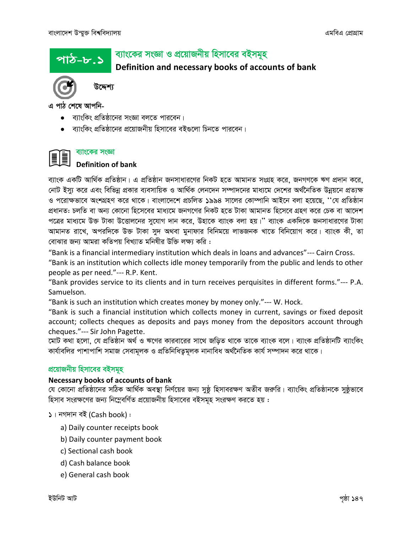পাঠ-৮.১

## ব্যাংকের সংজ্ঞা ও প্রয়োজনীয় হিসাবের বইসমূহ

Definition and necessary books of accounts of bank



উদ্দেশ্য

এ পাঠ শেষে আপনি-

- ব্যাংকিং প্রতিষ্ঠানের সংজ্ঞা বলতে পারবেন।
- ব্যাংকিং প্রতিষ্ঠানের প্রয়োজনীয় হিসাবের বইগুলো চিনতে পারবেন।

### ব্যাংকের সংজ্ঞা II

### **Definition of bank**

ব্যাংক একটি আর্থিক প্রতিষ্ঠান। এ প্রতিষ্ঠান জনসাধারণের নিকট হতে আমানত সংগ্রহ করে, জনগণকে ঋণ প্রদান করে, নোট ইস্যু করে এবং বিভিন্ন প্রকার ব্যবসায়িক ও আর্থিক লেনদেন সম্পাদনের মাধ্যমে দেশের অর্থনৈতিক উন্নয়নে প্রত্যক্ষ ও পরোক্ষভাবে অংশগ্রহণ করে থাকে। বাংলাদেশে প্রচলিত ১৯৯৪ সালের কোম্পানি আইনে বলা হয়েছে, ''যে প্রতিষ্ঠান প্রধানত: চলতি বা অন্য কোনো হিসেবের মাধ্যমে জনগণের নিকট হতে টাকা আমানত হিসেবে গ্রহণ করে চেক বা আদেশ পত্রের মাধ্যমে উক্ত টাকা উত্তোলনের সুযোগ দান করে, উহাকে ব্যাংক বলা হয়।'' ব্যাংক একদিকে জনসাধারণের টাকা আমানত রাখে, অপরদিকে উক্ত টাকা সুদ অথবা মুনাফার বিনিময়ে লাভজনক খাতে বিনিয়োগ করে। ব্যাংক কী, তা বোঝার জন্য আমরা কতিপয় বিখ্যাত মনিষীর উক্তি লক্ষ্য করি :

"Bank is a financial intermediary institution which deals in loans and advances"--- Cairn Cross.

"Bank is an institution which collects idle money temporarily from the public and lends to other people as per need."--- R.P. Kent.

"Bank provides service to its clients and in turn receives perquisites in different forms."--- P.A. Samuelson.

"Bank is such an institution which creates money by money only."--- W. Hock.

"Bank is such a financial institution which collects money in current, savings or fixed deposit account; collects cheques as deposits and pays money from the depositors account through cheques."--- Sir John Pagette.

মোট কথা হলো, যে প্রতিষ্ঠান অর্থ ও ঋণের কারবারের সাথে জড়িত থাকে তাকে ব্যাংক বলে। ব্যাংক প্রতিষ্ঠানটি ব্যাংকিং কাৰ্যাবলির পাশাপাশি সমাজ সেবামূলক ও প্রতিনিধিতুমূলক নানাবিধ অর্থনৈতিক কার্য সম্পাদন করে থাকে।

### প্রয়োজনীয় হিসাবের বইসমূহ

### Necessary books of accounts of bank

যে কোনো প্রতিষ্ঠানের সঠিক আর্থিক অবস্থা নির্ণয়ের জন্য সুষ্ঠ হিসাবরক্ষণ অতীব জরুরি। ব্যাংকিং প্রতিষ্ঠানকে সুষ্ঠভাবে হিসাব সংরক্ষণের জন্য নিম্নেবর্ণিত প্রয়োজনীয় হিসাবের বইসমূহ সংরক্ষণ করতে হয় :

 $\mathsf{S}$ । নগদান বই (Cash book):

- a) Daily counter receipts book
- b) Daily counter payment book
- c) Sectional cash book
- d) Cash balance book
- e) General cash book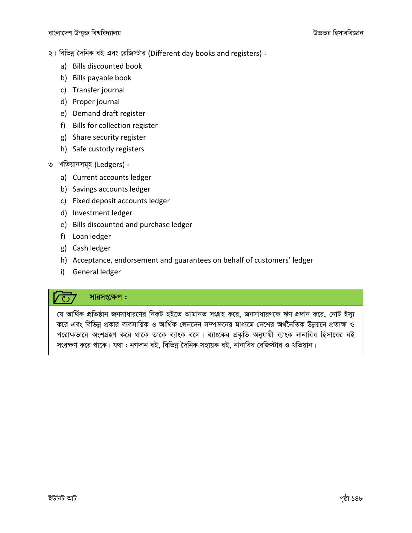২। বিভিন্ন দৈনিক বই এবং রেজিস্টার (Different day books and registers):

- a) Bills discounted book
- b) Bills payable book
- c) Transfer journal
- d) Proper journal
- e) Demand draft register
- f) Bills for collection register
- g) Share security register
- h) Safe custody registers
- ৩। খতিয়ানসমূহ (Ledgers) :
	- a) Current accounts ledger
	- b) Savings accounts ledger
	- c) Fixed deposit accounts ledger
	- d) Investment ledger
	- e) Bills discounted and purchase ledger
	- f) Loan ledger
	- g) Cash ledger

 $\sqrt{3}$ 

- h) Acceptance, endorsement and guarantees on behalf of customers' ledger
- i) General ledger

### সারসংক্ষেপ :

যে আৰ্থিক প্ৰতিষ্ঠান জনসাধারণের নিকট হইতে আমানত সংগ্ৰহ করে, জনসাধারণকে ঋণ প্রদান করে, নোট ইস্যু করে এবং বিভিন্ন প্রকার ব্যবসায়িক ও আর্থিক লেনদেন সম্পাদনের মাধ্যমে দেশের অর্থনৈতিক উন্নয়নে প্রত্যক্ষ ও পরোক্ষভাবে অংশগ্রহণ করে থাকে তাকে ব্যাংক বলে। ব্যাংকের প্রকৃতি অনুযায়ী ব্যাংক নানাবিধ হিসাবের বই সংরক্ষণ করে থাকে। যথা : নগদান বই, বিভিন্ন দৈনিক সহায়ক বই, নানাবিধ রেজিস্টার ও খতিয়ান।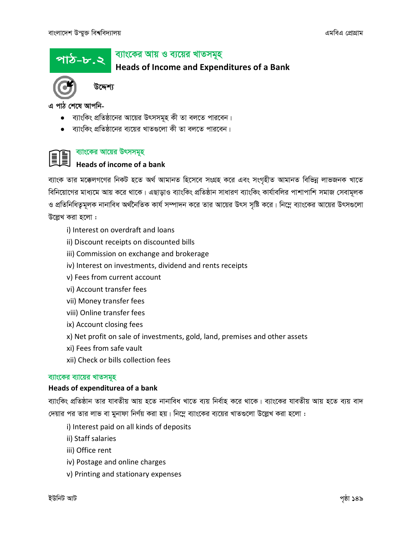### ব্যাংকের আয় ও ব্যয়ের খাতসমূহ পাঠ-৮.২

**Heads of Income and Expenditures of a Bank** 



উদ্দেশ্য

এ পাঠ শেষে আপনি-

- ব্যাংকিং প্রতিষ্ঠানের আয়ের উৎসসমূহ কী তা বলতে পারবেন।
- ব্যাংকিং প্রতিষ্ঠানের ব্যয়ের খাতগুলো কী তা বলতে পারবেন।



### ব্যাংকের আয়ের উৎসসমূহ

## Heads of income of a bank

ব্যাংক তার মক্কেলগণের নিকট হতে অর্থ আমানত হিসেবে সংগ্রহ করে এবং সংগৃহীত আমানত বিভিন্ন লাভজনক খাতে বিনিয়োগের মাধ্যমে আয় করে থাকে। এছাড়াও ব্যাংকিং প্রতিষ্ঠান সাধারণ ব্যাংকিং কার্যাবলির পাশাপাশি সমাজ সেবামূলক ও প্রতিনিধিত্বমূলক নানাবিধ অর্থনৈতিক কার্য সম্পাদন করে তার আয়ের উৎস সৃষ্টি করে। নিম্নে ব্যাংকের আয়ের উৎসগুলো উল্লেখ করা হলো :

- i) Interest on overdraft and loans
- ii) Discount receipts on discounted bills
- iii) Commission on exchange and brokerage
- iv) Interest on investments, dividend and rents receipts
- v) Fees from current account
- vi) Account transfer fees
- vii) Money transfer fees
- viii) Online transfer fees
- ix) Account closing fees
- x) Net profit on sale of investments, gold, land, premises and other assets
- xi) Fees from safe vault
- xii) Check or bills collection fees

### ব্যাংকের ব্যায়ের খাতসমূহ

### Heads of expenditurea of a bank

ব্যাংকিং প্রতিষ্ঠান তার যাবতীয় আয় হতে নানাবিধ খাতে ব্যয় নির্বাহ করে থাকে। ব্যাংকের যাবতীয় আয় হতে ব্যয় বাদ দেয়ার পর তার লাভ বা মুনাফা নির্ণয় করা হয়। নিম্নে ব্যাংকের ব্যয়ের খাতগুলো উল্লেখ করা হলো :

- i) Interest paid on all kinds of deposits
- ii) Staff salaries
- iii) Office rent
- iv) Postage and online charges
- v) Printing and stationary expenses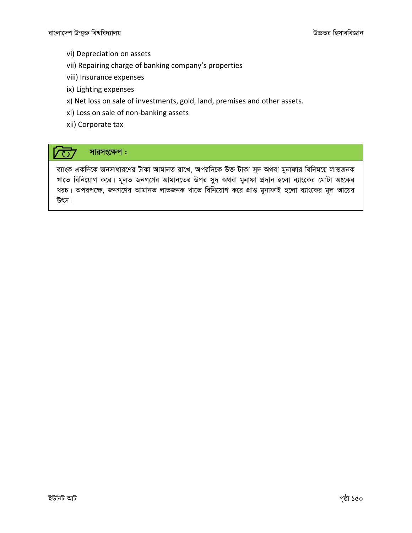- vi) Depreciation on assets
- vii) Repairing charge of banking company's properties
- viii) Insurance expenses
- ix) Lighting expenses
- x) Net loss on sale of investments, gold, land, premises and other assets.
- xi) Loss on sale of non-banking assets
- xii) Corporate tax

### সারসংক্ষেপ:  $\sqrt{O}$

ব্যাংক একদিকে জনসাধারণের টাকা আমানত রাখে, অপরদিকে উক্ত টাকা সুদ অথবা মুনাফার বিনিময়ে লাভজনক খাতে বিনিয়োগ করে। মূলত জনগণের আমানতের উপর সুদ অথবা মুনাফা প্রদান হলো ব্যাংকের মোটা অংকের খরচ। অপরপক্ষে, জনগণের আমানত লাভজনক খাতে বিনিয়োগ করে প্রাপ্ত মুনাফাই হলো ব্যাংকের মূল আয়ের উৎস।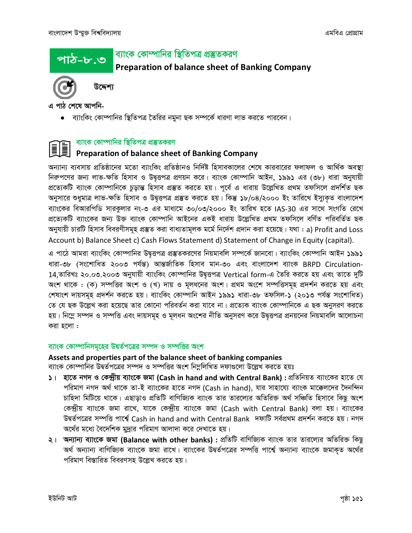### ব্যাংক কোম্পানির স্থিতিপত্র প্রস্তুতকরণ <u>পাঠ-৮.৩</u>

Preparation of balance sheet of Banking Company



উদ্দেশ্য

এ পাঠ শেষে আপনি-

• ব্যাংকিং কোম্পানির স্থিতিপত্র তৈরির নমুনা ছক সম্পর্কে ধারণা লাভ করতে পারবেন।

### ব্যাংক কোম্পানির স্থিতিপত্র প্রস্তুতকরণ Î

### E Preparation of balance sheet of Banking Company

অন্যান্য ব্যবসায় প্রতিষ্ঠানের মতো ব্যাংকিং প্রতিষ্ঠানও নির্দিষ্ট হিসাবকালের শেষে কারবারের ফলাফল ও আর্থিক অবস্থা নিরুপণের জন্য লাভ-ক্ষতি হিসাব ও উদ্বত্তপত্র প্রণয়ন করে। ব্যাংক কোম্পানি আইন, ১৯৯১ এর (৩৮) ধারা অনুযায়ী প্ৰত্যেকটি ব্যাংক কোম্পানিকে চূড়ান্ত হিসাব প্ৰস্তুত করতে হয়। পূর্বে এ ধারায় উল্লেখিত প্রথম তফসিলে প্রদর্শিত ছক অনুসারে শুধুমাত্র লাভ-ক্ষতি হিসাব ও উদ্বত্তপত্র প্রস্তুত করতে হয়। কিন্তু ১৮/০৪/২০০০ ইং তারিখে ইস্যুকত বাংলাদেশ ব্যাংকের বিআরপিডি সারকুলার নং-৩ এর মাধ্যমে ৩০/০৩/২০০০ ইং তারিখ হতে IAS-30 এর সাথে সংগতি রেখে প্রত্যেকটি ব্যাংকের জন্য উক্ত ব্যাংক কোম্পানি আইনের একই ধারায় উল্লেখিত প্রথম তফসিলে বর্ণিত পরিবর্তিত ছক অনুযায়ী চারটি হিসাব বিবরণীসমূহ প্রস্তুত করা বাধ্যতামূলক মর্মে নির্দেশ প্রদান করা হয়েছে। যথা : a) Profit and Loss Account b) Balance Sheet c) Cash Flows Statement d) Statement of Change in Equity (capital).

এ পাঠে আমরা ব্যাংকিং কোম্পানির উদ্বত্তপত্র প্রস্তুতকরণের নিয়মাবলি সম্পর্কে জানবো। ব্যাংকিং কোম্পানি আইন ১৯৯১ ধারা-৩৮ (সংশোধিত ২০০৩ পর্যন্ত) আন্তর্জাতিক হিসাব মান-৩০ এবং বাংলাদেশ ব্যাংক BRPD Circulation-14,তারিখঃ ২০.০৩.২০০৩ অনুযায়ী ব্যাংকিং কোম্পানির উদ্বত্তপত্র Vertical form-এ তৈরি করতে হয় এবং তাতে দুটি অংশ থাকে : (ক) সম্পত্তির অংশ ও (খ) দায় ও মূলধনের অংশ। প্রথম অংশে সম্পত্তিসমূহ প্রদর্শন করতে হয় এবং শেষাংশ দায়সমূহ প্রদর্শন করতে হয়। ব্যাংকিং কোম্পানি আইন ১৯৯১ ধারা-৩৮ তফসিল-১ (২০১৩ পর্যন্ত সংশোধিত) তে যে ছক উল্লেখ করা হয়েছে তার কোনো পরিবর্তন করা যাবে না। প্রত্যেক ব্যাংক কোম্পানিকে এ ছক অনুসরণ করতে হয়। নিম্নে সম্পদ ও সম্পত্তি এবং দায়সমূহ ও মূলধন অংশের নীতি অনুসরণ করে উদ্বত্তপত্র প্রনয়নের নিয়মাবলি আলোচনা করা হলো :

### ব্যাংক কোম্পানিসমূহের উদ্বর্তপত্রের সম্পদ ও সম্পত্তির অংশ

### Assets and properties part of the balance sheet of banking companies

ব্যাংক কোম্পানির উদ্বর্তপত্রের সম্পদ ও সম্পত্তির অংশ নিম্নলিখিত দফাগুলো উল্লেখ করতে হয়ঃ

- ১। হাতে নগদ ও কেন্দ্রীয় ব্যাংকে জমা (Cash in hand and with Central Bank) : প্রতিনিয়ত ব্যাংকের হাতে যে পরিমাণ নগদ অর্থ থাকে তা-ই ব্যাংকের হাতে নগদ (Cash in hand), যার সাহায্যে ব্যাংক মাক্কেলদের দৈনন্দিন চাহিদা মিটিয়ে থাকে। এছাড়াও প্রতিটি বাণিজ্যিক ব্যাংক তার তারল্যের অতিরিক্ত অর্থ সঞ্চিতি হিসাবে কিছু অংশ কেন্দ্রীয় ব্যাংকে জমা রাখে, যাকে কেন্দ্রীয় ব্যাংকে জমা (Cash with Central Bank) বলা হয়। ব্যাংকের উদ্বৰ্তপত্ৰের সম্পত্তি পাৰ্শ্বে Cash in hand and with Central Bank দফাটি সৰ্বপ্ৰথম প্ৰদৰ্শন করতে হয়। নগদ অর্থের মধ্যে বৈদেশিক মুদ্রার পরিমাণ আলাদা করে দেখাতে হয়।
- ২। অন্যান্য ব্যাংকে জমা (Balance with other banks) : প্রতিটি বাণিজ্যিক ব্যাংক তার তারল্যের অতিরিক্ত কিছু অর্থ অন্যান্য বাণিজ্যিক ব্যাংকে জমা রাখে। ব্যাংকের উদ্বর্তপত্রের সম্পত্তি পার্শ্বে অন্যান্য ব্যাংকে জমাকৃত অর্থের পরিমাণ বিস্তারিত বিবরণসহ উল্লেখ করতে হয়।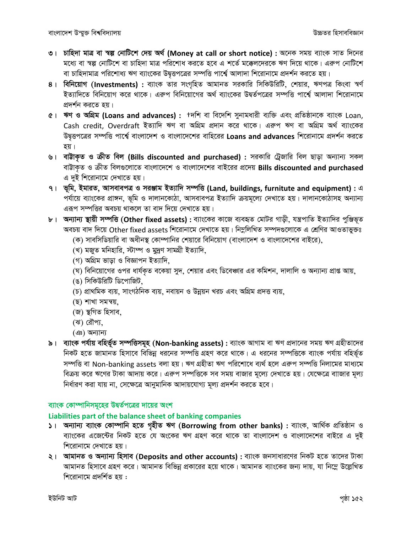- ৩। চাহিদা মাত্র বা স্বল্প নোটিশে দেয় অর্থ (Money at call or short notice) : অনেক সময় ব্যাংক সাত দিনের মধ্যে বা স্বল্প নোটিশে বা চাহিদা মাত্র পরিশোধ করতে হবে এ শর্তে মক্কেলদেরকে ঋণ দিয়ে থাকে। এরুপ নোটিশে বা চাহিদামাত্র পরিশোধ্য ঋণ ব্যাংকের উদ্বৃত্তপত্রের সম্পত্তি পার্শ্বে আলাদা শিরোনামে প্রদর্শন করতে হয়।
- 8। বিনিয়োগ (Investments) : ব্যাংক তার সংগৃহিত আমানত সরকারি সিকিউরিটি, শেয়ার, ঋণপত্র কিংবা স্বর্ণ ইত্যাদিতে বিনিয়োগ করে থাকে। এরুপ বিনিয়োগের অর্থ ব্যাংকের উদ্বর্তপত্রের সম্পত্তি পার্শ্বে আলাদা শিরোনামে প্রদর্শন করতে হয়।
- $\mathfrak{C}$ । ঋণ ও অগ্রিম (Loans and advances): +দশি বা বিদেশি সুনামধারী ব্যক্তি এবং প্রতিষ্ঠানকে ব্যাংক Loan, Cash credit, Overdraft ইত্যাদি ঋণ বা অগ্রিম প্রদান করে থাকে। এরুপ ঋণ বা অগ্রিম অর্থ ব্যাংকের উদ্বত্তপত্রের সম্পত্তি পার্শ্বে বাংলাদেশ ও বাংলাদেশের বাহিরের Loans and advances শিরোনামে প্রদর্শন করতে হয়।
- ৬। বাট্টাকৃত ও ক্রীত বিল (Bills discounted and purchased): সরকারি ট্রেজারি বিল ছাড়া অন্যান্য সকল বাট্টাক্ত ও ক্রীত বিলগুলোতে বাংলাদেশে ও বাংলাদেশের বাইরের প্রদেয় Bills discounted and purchased এ দুই শিরোনামে দেখাতে হয়।
- ৭। ভূমি, ইমারত, আসবাবপত্র ও সরঞ্জাম ইত্যাদি সম্পত্তি (Land, buildings, furnitute and equipment) : এ পর্যায়ে ব্যাংকের প্রাঙ্গন, ভূমি ও দালানকোঠা, আসবাবপত্র ইত্যাদি ক্রয়মূল্যে দেখাতে হয়। দালানকোঠাসহ অন্যান্য এরূপ সম্পত্তির অবচয় থাকলে তা বাদ দিয়ে দেখাতে হয়।
- ৮। অন্যান্য স্থায়ী সম্পত্তি (Other fixed assets) : ব্যাংকের কাজে ব্যবহৃত মোটর গাড়ী, যন্ত্রপাতি ইত্যাদির পুঞ্জিভূত অবচয় বাদ দিয়ে Other fixed assets শিরোনামে দেখাতে হয়। নিম্নলিখিত সম্পদগুলোকে এ শ্রেণির আওতাভুক্তঃ
	- (ক) সাবসিডিয়ারি বা অধীনস্থ কোম্পানির শেয়ারে বিনিয়োগ (বাংলাদেশ ও বাংলাদেশের বাইরে),
	- (খ) মজত মনিহারি, স্টাম্প ও মূদ্রণ সামগ্রী ইত্যাদি,
	- (গ) অগ্ৰিম ভাড়া ও বিজ্ঞাপন ইত্যাদি.
	- (ঘ) বিনিয়োগের ওপর ধার্যকৃত বকেয়া সুদ, শেয়ার এবং ডিবেঞ্চার এর কমিশন, দালালি ও অন্যান্য প্রাপ্ত আয়,
	- (ঙ) সিকিউরিটি ডিপোজিট,
	- (চ) প্রাথমিক ব্যয়, সাংগঠনিক ব্যয়, নবায়ন ও উন্নয়ন খরচ এবং অগ্রিম প্রদত্ত ব্যয়,
	- (ছ) শাখা সমন্বয়,
	- (জ) স্থগিত হিসাব.
	- (ঝ) রৌপ্য,
	- $(43)$  অন্যান্য
- ৯। ব্যাংক পর্যায় বহির্ভূত সম্পত্তিসমূহ (Non-banking assets) : ব্যাংক আগাম বা ঋণ প্রদানের সময় ঋণ গ্রহীতাদের নিকট হতে জামানত হিসাবে বিভিন্ন ধরনের সম্পত্তি গ্রহণ করে থাকে। এ ধরনের সম্পত্তিকে ব্যাংক পর্যায় বহির্ভূত সম্পত্তি বা Non-banking assets বলা হয়। ঋণ গ্রহীতা ঋণ পরিশোধে ব্যর্থ হলে এরুপ সম্পত্তি নিলামের মাধ্যমে বিক্রয় করে ঋণের টাকা আদায় করে। এরুপ সম্পত্তিকে সব সময় বাজার মূল্যে দেখাতে হয়। যেক্ষেত্রে বাাজার মূল্য নির্ধারণ করা যায় না, সেক্ষেত্রে আনুমানিক আদায়যোগ্য মূল্য প্রদর্শন করতে হবে।

### ব্যাংক কোম্পানিসমূহের উদ্বর্তপত্রের দায়ের অংশ

### Liabilities part of the balance sheet of banking companies

- ১। অন্যান্য ব্যাংক কোম্পানি হতে গৃহীত ঋণ (Borrowing from other banks) : ব্যাংক, আৰ্থিক প্ৰতিষ্ঠান ও ব্যাংকের এজেন্টের নিকট হতে যে অংকের ঋণ গ্রহণ করে থাকে তা বাংলাদেশ ও বাংলাদেশের বাইরে এ দুই শিরোনামে দেখাতে হয়।
- ২। আমানত ও অন্যান্য হিসাব (Deposits and other accounts) : ব্যাংক জনসাধারণের নিকট হতে তাদের টাকা আমানত হিসাবে গ্রহণ করে। আমানত বিভিন্ন প্রকারের হয়ে থাকে। আমানত ব্যাংকের জন্য দায়, যা নিম্নে উল্লেখিত শিরোনামে প্রদর্শিত হয় :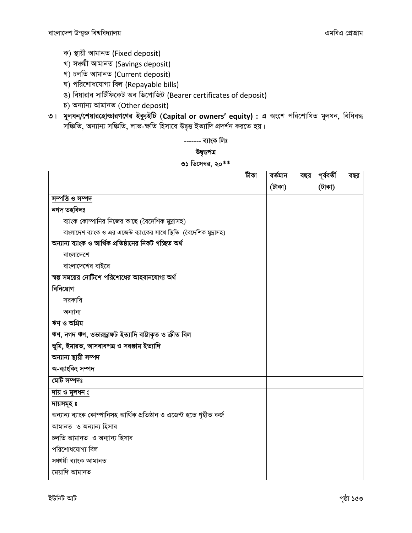- ক) স্থায়ী আমানত (Fixed deposit)
- খ) সঞ্চয়ী আমানত (Savings deposit)
- গ) চলতি আমানত (Current deposit)
- ঘ) পরিশোধযোগ্য বিল (Repayable bills)
- ঙ) বিয়ারার সার্টিফিকেট অব ডিপোজিট (Bearer certificates of deposit)
- চ) অন্যান্য আমানত (Other deposit)
- ৩। মূলধন/শেয়ারহোন্ডারগণের ইক্যুইটি (Capital or owners' equity) : এ অংশে পরিশোধিত মূলধন, বিধিবদ্ধ সঞ্চিতি, অন্যান্য সঞ্চিতি, লাভ-ক্ষতি হিসাবে উদ্বৃত্ত ইত্যাদি প্ৰদৰ্শন করতে হয়।

------- ব্যাংক লিঃ উদ্বত্তপত্ৰ ৩১ ডিসেম্বর, ২০ $^{**}$ 

|                                                                      | টীকা | বৰ্তমান | বছর | পূৰ্ববৰ্তী | বছর |
|----------------------------------------------------------------------|------|---------|-----|------------|-----|
|                                                                      |      | (টাকা)  |     | (টাকা)     |     |
| সম্পত্তি ও সম্পদ                                                     |      |         |     |            |     |
| নগদ তহবিলঃ                                                           |      |         |     |            |     |
| ব্যাংক কোম্পানির নিজের কাছে (বৈদেশিক মুদ্রাসহ)                       |      |         |     |            |     |
| বাংলাদেশ ব্যাংক ও এর এজেন্ট ব্যাংকের সাথে স্থিতি (বৈদেশিক মুদ্রাসহ)  |      |         |     |            |     |
| অন্যান্য ব্যাংক ও আৰ্থিক প্ৰতিষ্ঠানের নিকট গচ্ছিত অৰ্থ               |      |         |     |            |     |
| বাংলাদেশে                                                            |      |         |     |            |     |
| বাংলাদেশের বাইরে                                                     |      |         |     |            |     |
| স্বল্প সময়ের নোটিশে পরিশোধের আহবানযোগ্য অর্থ                        |      |         |     |            |     |
| বিনিয়োগ                                                             |      |         |     |            |     |
| সরকারি                                                               |      |         |     |            |     |
| অন্যান্য                                                             |      |         |     |            |     |
| ঋণ ও অগ্রিম                                                          |      |         |     |            |     |
| ঋণ, নগদ ঋণ, ওভারড্রাফট ইত্যাদি বাট্টাকৃত ও ক্রীত বিল                 |      |         |     |            |     |
| ভূমি, ইমারত, আসবাবপত্র ও সরঞ্জাম ইত্যাদি                             |      |         |     |            |     |
| অন্যান্য স্থায়ী সম্পদ                                               |      |         |     |            |     |
| অ-ব্যাংকিং সম্পদ                                                     |      |         |     |            |     |
| মোট সম্পদঃ                                                           |      |         |     |            |     |
| দায় ও মূলধন ঃ                                                       |      |         |     |            |     |
| দায়সমূহ ঃ                                                           |      |         |     |            |     |
| অন্যান্য ব্যাংক কোম্পানিসহ আৰ্থিক প্ৰতিষ্ঠান ও এজেন্ট হতে গৃহীত কৰ্জ |      |         |     |            |     |
| আমানত ও অন্যান্য হিসাব                                               |      |         |     |            |     |
| চলতি আমানত ও অন্যান্য হিসাব                                          |      |         |     |            |     |
| পরিশোধযোগ্য বিল                                                      |      |         |     |            |     |
| সঞ্চায়ী ব্যাংক আমানত                                                |      |         |     |            |     |
| মেয়াদি আমানত                                                        |      |         |     |            |     |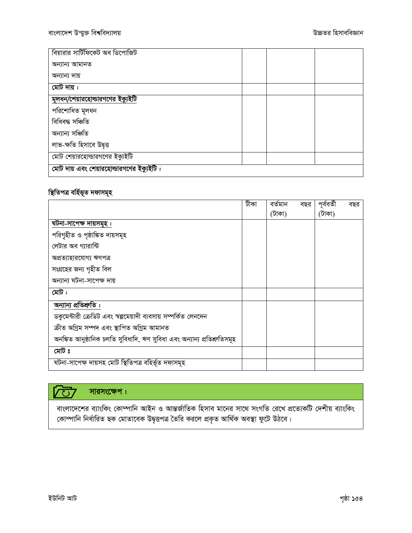| বিয়ারার সার্টিফিকেট অব ডিপোজিট          |  |  |
|------------------------------------------|--|--|
| অন্যান্য আমানত                           |  |  |
| অন্যান্য দায়                            |  |  |
| মোট দায় :                               |  |  |
| <u>মূলধন/শেয়ারহোল্ডারগণের ইক্যুইটি</u>  |  |  |
| পরিশোধিত মূলধন                           |  |  |
| বিধিবদ্ধ সঞ্চিতি                         |  |  |
| অন্যান্য সঞ্চিতি                         |  |  |
| লাভ-ক্ষতি হিসাবে উদ্বত্ত                 |  |  |
| মোট শেয়ারহোল্ডারগণের ইক্যুইটি           |  |  |
| মোট দায় এবং শেয়ারহোল্ডারগণের ইক্যুইটি: |  |  |

### স্থিতিপত্ৰ বৰ্হিভূত দফাসমূহ

|                                                                          | টীকা | বৰ্তমান | বছর | পূৰ্ববৰ্তী | বছর |
|--------------------------------------------------------------------------|------|---------|-----|------------|-----|
|                                                                          |      | (টাকা)  |     | (টাকা)     |     |
| ঘটনা-সাপেক্ষ দায়সমূহ :                                                  |      |         |     |            |     |
| পরিগৃহীত ও পৃষ্ঠাঙ্কিত দায়সমূহ                                          |      |         |     |            |     |
| লেটার অব গ্যারান্টি                                                      |      |         |     |            |     |
| অপ্ৰত্যাহারযোগ্য ঋণপত্র                                                  |      |         |     |            |     |
| সংগ্রহের জন্য গৃহীত বিল                                                  |      |         |     |            |     |
| অন্যান্য ঘটনা-সাপেক্ষ দায়                                               |      |         |     |            |     |
| মেট :                                                                    |      |         |     |            |     |
| অন্যান্য প্ৰতিশ্ৰুতি :                                                   |      |         |     |            |     |
| ডকুমেন্টারী ক্রেডিট এবং স্বল্পমেয়াদী ব্যবসায় সম্পর্কিত লেনদেন          |      |         |     |            |     |
| ক্ৰীত অগ্ৰিম সম্পদ এবং স্থাপিত অগ্ৰিম আমানত                              |      |         |     |            |     |
| অনঙ্কিত আনুষ্ঠানিক চলতি সুবিধাদি, ঋণ সুবিধা এবং অন্যান্য প্ৰতিশ্ৰুতিসমূহ |      |         |     |            |     |
| মেট ঃ                                                                    |      |         |     |            |     |
| ঘটনা-সাপেক্ষ দায়সহ মোট স্থিতিপত্ৰ বহিৰ্ভূত দফাসমূহ                      |      |         |     |            |     |

### সারসংক্ষেপ :  $\sqrt{C}$

বাংলাদেশের ব্যাংকিং কোম্পানি আইন ও আন্তর্জাতিক হিসাব মানের সাথে সংগতি রেখে প্রত্যেকটি দেশীয় ব্যাংকিং<br>কোম্পানি নির্ধারিত ছক মোতাবেক উদ্বৃত্তপত্র তৈরি করলে প্রকৃত আর্থিক অবস্থা ফুটে উঠবে।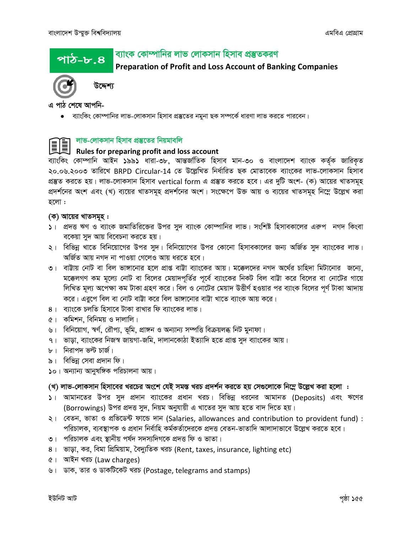পাঠ–৮.৪

### ব্যাংক কোম্পানির লাভ লোকসান হিসাব প্রস্তুতকরণ

**Preparation of Profit and Loss Account of Banking Companies** 



উদ্দেশ্য

এ পাঠ শেষে আপনি-

● ব্যাংকিং কোম্পানির লাভ-লোকসান হিসাব প্রস্তুতের নমুনা ছক সম্পর্কে ধারণা লাভ করতে পারবেন।

### লাভ-লোকসান হিসাব প্ৰস্তুতের নিয়মাবলি

# ৰ বিভি-পোপশাল বিষয়ে নতত এনে।<br>Rules for preparing profit and loss account<br>বিষয়া বিভিন্ন বিষয়া বিষয়া বিষয়া বিষয়া বিষয়া বিষয়া বিষয়া বিষয়া বিষয়া বিষয়া বিষয়া বিষয়া বিষয়া বিষয

ব্যাংকিং কোম্পানি আইন ১৯৯১ ধারা-৩৮, আন্তর্জাতিক হিসাব মান-৩০ ও বাংলাদেশ ব্যাংক কর্তৃক জারিকৃত ২০.০৬.২০০৩ তারিখে BRPD Circular-14 তে উল্লেখিত নির্ধারিত ছক মোতাবেক ব্যাংকের লাভ-লোকসান হিসাব প্রস্তুত করতে হয়। লাভ-লোকসান হিসাব vertical form এ প্রস্তুত করতে হবে। এর দুটি অংশ- (ক) আয়ের খাতসমূহ প্রদর্শনের অংশ এবং (খ) ব্যয়ের খাতসমূহ প্রদর্শনের অংশ। সংক্ষেপে উক্ত আয় ও ব্যয়ের খাতসমূহ নিম্নে উল্লেখ করা হলো :

### (ক) আয়ের খাতসমূহ :

- ১। প্রদত্ত ঋণ ও ব্যাংক জমাতিরিজের উপর সুদ ব্যাংক কোম্পানির লাভ। সংশিষ্ট হিসাবকালের এরুপ নগদ কিংবা বকেয়া সুদ আয় বিবেচনা করতে হয়।
- ২। বিভিন্ন খাতে বিনিয়োগের উপর সুদ। বিনিয়োগের উপর কোনো হিসাবকালের জন্য অর্জিত সুদ ব্যাংকের লাভ। অৰ্জিত আয় নগদ না পাওয়া গেলেও আয় ধরতে হবে।
- ৩। বাট্টায় নোট বা বিল ভাঙ্গানোর হলে প্রাপ্ত বাট্টা ব্যাংকের আয়। মক্কেলদের নগদ অর্থের চাহিদা মিটানোর জন্যে, মক্কেলগণ কম মূল্যে নোট বা বিলের মেয়াদপর্তির পর্বে ব্যাংকের নিকট বিল বাট্টা করে বিলের বা নোটের গায়ে লিখিত মূল্য অপেক্ষা কম টাকা গ্রহণ করে। বিল ও নোটের মেয়াদ উত্তীর্ণ হওয়ার পর ব্যাংক বিলের পূর্ণ টাকা আদায় করে। এরুপে বিল বা নোট বাট্টা করে বিল ভাঙ্গানোর বাট্টা খাতে ব্যাংক আয় করে।
- ৪। ব্যাংকে চলতি হিসাবে টাকা রাখার ফি ব্যাংকের লাভ।
- ৫। কমিশন, বিনিময় ও দালালি।
- ৬। বিনিয়োগ, স্বর্ণ, রৌপ্য, ভূমি, প্রাঙ্গন ও অন্যান্য সম্পত্তি বিক্রয়লব্ধ নিট মুনাফা।
- ৭। ভাড়া, ব্যাংকের নিজস্ব জায়গা-জমি, দালানকোঠা ইত্যাদি হতে প্রাপ্ত সুদ ব্যাংকের আয়।
- ৮। নিরাপদ ভল্ট চার্জ।
- ৯। বিভিন্ন সেবা প্রদান ফি।
- ১০। অন্যান্য আনুষঙ্গিক পরিচালনা আয়।

### (খ) লাভ-লোকসান হিসাবের খরচের অংশে যেই সমস্ত খরচ প্রদর্শন করতে হয় সেগুলোকে নিম্নে উল্লেখ করা হলো :

- ১। আমানতের উপর সুদ প্রদান ব্যাংকের প্রধান খরচ। বিভিন্ন ধরনের আমানত (Deposits) এবং ঋণের (Borrowings) উপর প্রদত্ত সুদ, নিয়ম অনুযায়ী এ খাতের সুদ আয় হতে বাদ দিতে হয়।
- ২। বেতন, ভাতা ও প্রভিডেন্ট ফান্ডে দান (Salaries, allowances and contribution to provident fund): পরিচালক, ব্যবস্থাপক ও প্রধান নির্বাহি কর্মকর্তাদেরকে প্রদত্ত বেতন-ভাতাদি আলাদাভাবে উল্লেখ করতে হবে।
- ৩। পরিচালক এবং স্থানীয় পর্যদ সদস্যদিগকে প্রদত্ত ফি ও ভাতা।
- ৪। ভাড়া, কর, বিমা প্রিমিয়াম, বৈদ্যুতিক খরচ (Rent, taxes, insurance, lighting etc)
- ৫। আইন খরচ (Law charges)
- ৬। ডাক, তার ও ডাকটিকেট খরচ (Postage, telegrams and stamps)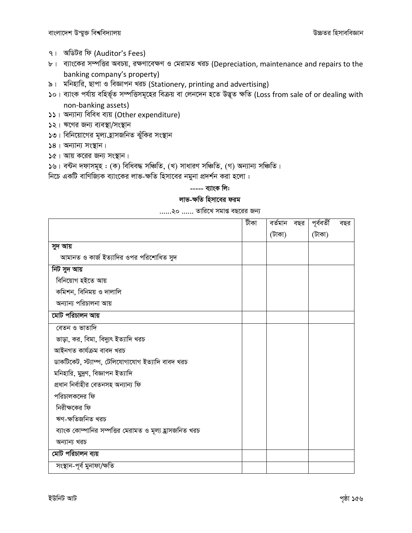- ৭। অডিটর ফি (Auditor's Fees)
- ৮। ব্যাংকের সম্পত্তির অবচয়, রক্ষণাবেক্ষণ ও মেরামত খরচ (Depreciation, maintenance and repairs to the banking company's property)
- ৯। মনিহারি, ছাপা ও বিজ্ঞাপন খরচ (Stationery, printing and advertising)
- ১০। ব্যাংক পর্যায় বহির্ভূত সম্পত্তিসমূহের বিক্রয় বা লেনদেন হতে উদ্ভূত ক্ষতি (Loss from sale of or dealing with non-banking assets)
- ১১। অন্যান্য বিবিধ ব্যয় (Other expenditure)
- ১২। ঋণের জন্য ব্যবস্থা/সংস্থান
- ১৩। বিনিয়োগের মূল্য হ্রাসজনিত ঝুঁকির সংস্থান
- $58$ । অন্যান্য সংস্থান।
- $6$ । আয় করের জন্য সংস্থান।
- ১৬। বন্টন দফাসমূহ: (ক) বিধিবদ্ধ সঞ্চিতি, (খ) সাধারণ সঞ্চিতি, (গ) অন্যান্য সঞ্চিতি।
- নিচে একটি বাণিজ্যিক ব্যাংকের লাভ-ক্ষতি হিসাবের নমুনা প্রদর্শন করা হলো :

### ----- ব্যাংক লি:

### লাভ-ক্ষতি হিসাবের ফরম

### ......২০ ...... তারিখে সমাপ্ত বছরের জন্য

|                                                         | টীকা | বৰ্তমান বছর | পূৰ্ববৰ্তী | বছর |
|---------------------------------------------------------|------|-------------|------------|-----|
|                                                         |      | (টাকা)      | (টাকা)     |     |
| সুদ আয়                                                 |      |             |            |     |
| আমানত ও কার্জ ইত্যাদির ওপর পরিশোধিত সুদ                 |      |             |            |     |
| নিট সুদ আয়                                             |      |             |            |     |
| বিনিয়োগ হইতে আয়                                       |      |             |            |     |
| কমিশন, বিনিময় ও দালালি                                 |      |             |            |     |
| অন্যান্য পরিচালনা আয়                                   |      |             |            |     |
| মোট পরিচালন আয়                                         |      |             |            |     |
| বেতন ও ভাতাদি                                           |      |             |            |     |
| ভাড়া, কর, বিমা, বিদ্যুৎ ইত্যাদি খরচ                    |      |             |            |     |
| আইনগত কাৰ্যক্ৰম বাবদ খরচ                                |      |             |            |     |
| ডাকটিকেট, স্ট্যাম্প, টেলিযোগাযোগ ইত্যাদি বাবদ খরচ       |      |             |            |     |
| মনিহারি, মুদ্রণ, বিজ্ঞাপন ইত্যাদি                       |      |             |            |     |
| প্ৰধান নিৰ্বাহীর বেতনসহ অন্যান্য ফি                     |      |             |            |     |
| পরিচালকদের ফি                                           |      |             |            |     |
| নিরীক্ষকের ফি                                           |      |             |            |     |
| ঋণ-ক্ষতিজনিত খরচ                                        |      |             |            |     |
| ব্যাংক কোম্পানির সম্পত্তির মেরামত ও মূল্য হ্রাসজনিত খরচ |      |             |            |     |
| অন্যান্য খরচ                                            |      |             |            |     |
| মোট পরিচালন ব্যয়                                       |      |             |            |     |
| সংস্থান-পূৰ্ব মুনাফা/ক্ষতি                              |      |             |            |     |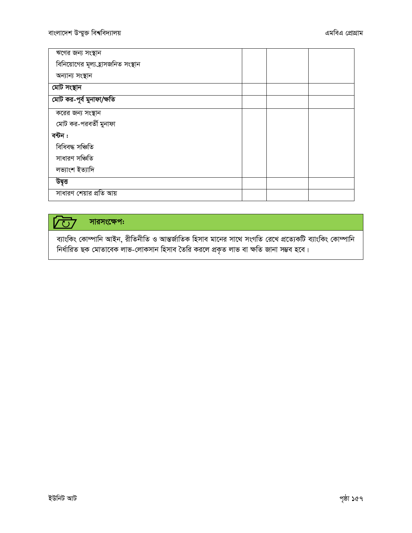| ঋণের জন্য সংস্থান                  |  |  |
|------------------------------------|--|--|
| বিনিয়োগের মূল্য হ্রাসজনিত সংস্থান |  |  |
| অন্যান্য সংস্থান                   |  |  |
| মোট সংস্থান                        |  |  |
| মোট কর-পূর্ব মুনাফা/ক্ষতি          |  |  |
| করের জন্য সংস্থান                  |  |  |
| মোট কর-পরবর্তী মুনাফা              |  |  |
| বন্টন :                            |  |  |
| বিধিবদ্ধ সঞ্চিতি                   |  |  |
| সাধারণ সঞ্চিতি                     |  |  |
| লভ্যাংশ ইত্যাদি                    |  |  |
| উদ্বৃত্ত                           |  |  |
| সাধারণ শেয়ার প্রতি আয়            |  |  |

#### সারসংক্ষেপ:  $\sqrt{(\cdot)}$

ব্যাংকিং কোম্পানি আইন, রীতিনীতি ও আন্তর্জাতিক হিসাব মানের সাথে সংগতি রেখে প্রত্যেকটি ব্যাংকিং কোম্পানি নিৰ্ধাৱিত ছক মোতাবেক লাভ-লোকসান হিসাব তৈৱি করলে প্রকৃত লাভ বা ক্ষতি জানা সম্ভব হবে।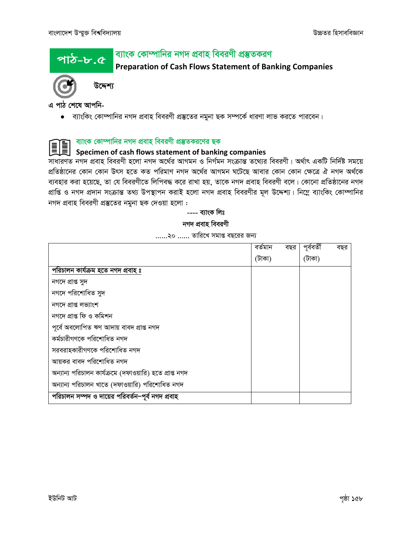### ব্যাংক কোম্পানির নগদ প্রবাহ বিবরণী প্রস্তুতকরণ <u>পাঠ-৮.৫</u>

**Preparation of Cash Flows Statement of Banking Companies** 



উদ্দেশ্য

এ পাঠ শেষে আপনি-

• ব্যাংকিং কোম্পানির নগদ প্রবাহ বিবরণী প্রস্তুতের নমুনা ছক সম্পর্কে ধারণা লাভ করতে পারবেন।

ব্যাংক কোম্পানির নগদ প্রবাহ বিবরণী প্রস্তুতকরণের ছক

## Specimen of cash flows statement of banking companies

সাধারণত নগদ প্রবাহ বিবরণী হলো নগদ অর্থের আগমন ও নির্গমন সংক্রান্ত তথ্যের বিবরণী। অর্থাৎ একটি নির্দিষ্ট সময়ে প্রতিষ্ঠানের কোন কোন উৎস হতে কত পরিমাণ নগদ অর্থের আগমন ঘটেছে আবার কোন কোন ক্ষেত্রে ঐ নগদ অর্থকে ব্যবহার করা হয়েছে, তা যে বিবরণীতে লিপিবদ্ধ করে রাখা হয়, তাকে নগদ প্রবাহ বিবরণী বলে। কোনো প্রতিষ্ঠানের নগদ প্রাপ্তি ও নগদ প্রদান সংক্রান্ত তথ্য উপস্থাপন করাই হলো নগদ প্রবাহ বিবরণীর মূল উদ্দেশ্য। নিম্নে ব্যাংকিং কোম্পানির নগদ প্ৰবাহ বিবরণী প্ৰস্তুতের নমুনা ছক দেওয়া হলো :

> ---- ব্যাংক লিঃ নগদ প্ৰবাহ বিবরণী

......২০ ...... তারিখে সমাপ্ত বছরের জন্য

|                                                         | বৰ্তমান | বছর | পূৰ্ববৰ্তী | বছর |
|---------------------------------------------------------|---------|-----|------------|-----|
|                                                         | (টাকা)  |     | (টাকা)     |     |
| পরিচালন কার্যক্রম হতে নগদ প্রবাহ ঃ                      |         |     |            |     |
| নগদে প্ৰাপ্ত সুদ                                        |         |     |            |     |
| নগদে পরিশোধিত সুদ                                       |         |     |            |     |
| নগদে প্ৰাপ্ত লভ্যাংশ                                    |         |     |            |     |
| নগদে প্ৰাপ্ত ফি ও কমিশন                                 |         |     |            |     |
| পূৰ্বে অবলোপিত ঋণ আদায় বাবদ প্ৰাপ্ত নগদ                |         |     |            |     |
| কৰ্মচারীগণকে পরিশোধিত নগদ                               |         |     |            |     |
| সরবরাহকারীগণকে পরিশোধিত নগদ                             |         |     |            |     |
| আয়কর বাবদ পরিশোধিত নগদ                                 |         |     |            |     |
| অন্যান্য পরিচালন কার্যক্রমে (দফাওয়ারি) হতে প্রাপ্ত নগদ |         |     |            |     |
| অন্যান্য পরিচালন খাতে (দফাওয়ারি) পরিশোধিত নগদ          |         |     |            |     |
| পরিচালন সম্পদ ও দায়ের পরিবর্তন–পূর্ব নগদ প্রবাহ        |         |     |            |     |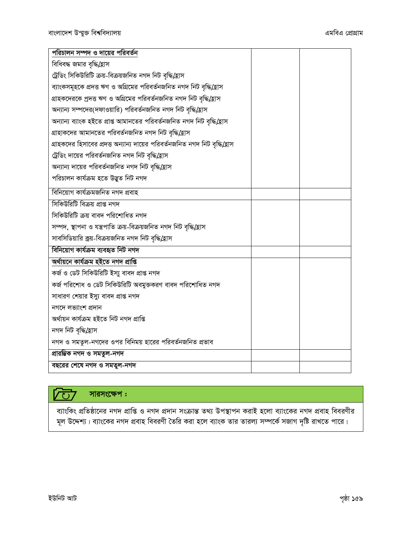| পরিচালন সম্পদ ও দায়ের পরিবর্তন                                             |  |
|-----------------------------------------------------------------------------|--|
| বিধিবদ্ধ জমার বৃদ্ধি/হ্রাস                                                  |  |
| ট্রেডিং সিকিউরিটি ক্রয়-বিক্রয়জনিত নগদ নিট বৃদ্ধি/হ্রাস                    |  |
| ব্যাংকসমূহকে প্রদত্ত ঋণ ও অগ্রিমের পরিবর্তনজনিত নগদ নিট বৃদ্ধি(হ্রাস        |  |
| গ্রাহকদেরকে প্রদত্ত ঋণ ও অগ্রিমের পরিবর্তনজনিত নগদ নিট বৃদ্ধি/হ্রাস         |  |
| অন্যান্য সম্পদের(দফাওয়ারি) পরিবর্তনজনিত নগদ নিট বৃদ্ধি(হ্রাস               |  |
| অন্যান্য ব্যাংক হইতে প্ৰাপ্ত আমানতের পরিবর্তনজনিত নগদ নিট বৃদ্ধি(হ্রাস      |  |
| গ্রাহাকদের আমানতের পরিবর্তনজনিত নগদ নিট বৃদ্ধি/হ্রাস                        |  |
| গ্রাহকদের হিসাবের প্রদত্ত অন্যান্য দায়ের পরিবর্তনজনিত নগদ নিট বৃদ্ধি(হ্রাস |  |
| ট্রেডিং দায়ের পরিবর্তনজনিত নগদ নিট বৃদ্ধি/হ্রাস                            |  |
| অন্যান্য দায়ের পরিবর্তনজনিত নগদ নিট বৃদ্ধি/হ্রাস                           |  |
| পরিচালন কার্যক্রম হতে উদ্ভুত নিট নগদ                                        |  |
| বিনিয়োগ কাৰ্যক্ৰমজনিত নগদ প্ৰবাহ                                           |  |
| সিকিউরিটি বিক্রয় প্রাপ্ত নগদ                                               |  |
| সিকিউরিটি ক্রয় বাবদ পরিশোধিত নগদ                                           |  |
| সম্পদ, স্থাপনা ও যন্ত্রপাতি ক্রয়-বিক্রয়জনিত নগদ নিট বৃদ্ধি/হ্রাস          |  |
| সাবসিডিয়ারি ক্রয়-বিক্রয়জনিত নগদ নিট বৃদ্ধি/হ্রাস                         |  |
| বিনিয়োগ কাৰ্যক্ৰম ব্যবহৃত নিট নগদ                                          |  |
| অৰ্থায়নে কাৰ্যক্ৰম হইতে নগদ প্ৰাপ্তি                                       |  |
| কৰ্জ ও ডেট সিকিউরিটি ইস্যু বাবদ প্রাপ্ত নগদ                                 |  |
| কর্জ পরিশোধ ও ডেট সিকিউরিটি অবমুক্তকরণ বাবদ পরিশোধিত নগদ                    |  |
| সাধারণ শেয়ার ইস্যু বাবদ প্রাপ্ত নগদ                                        |  |
| নগদে লভ্যাংশ প্ৰদান                                                         |  |
| অৰ্থায়ন কাৰ্যক্ৰম হইতে নিট নগদ প্ৰাপ্তি                                    |  |
| নগদ নিট বৃদ্ধি/হ্ৰাস                                                        |  |
| নগদ ও সমতুল-নগদের ওপর বিনিময় হারের পরিবর্তনজনিত প্রভাব                     |  |
| প্ৰারম্ভিক নগদ ও সমতুল-নগদ                                                  |  |
| বছরের শেষে নগদ ও সমতুল-নগদ                                                  |  |

### সারসংক্ষেপ: **VU7**

ব্যাংকিং প্রতিষ্ঠানের নগদ প্রাপ্তি ও নগদ প্রদান সংক্রান্ত তথ্য উপস্থাপন করাই হলো ব্যাংকের নগদ প্রবাহ বিবরণীর মূল উদ্দেশ্য। ব্যাংকের নগদ প্রবাহ বিবরণী তৈরি করা হলে ব্যাংক তার তারল্য সম্পর্কে সজাগ দৃষ্টি রাখতে পারে।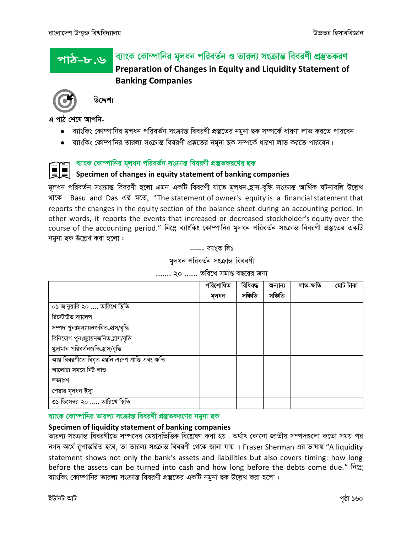### ব্যাংক কোম্পানির মূলধন পরিবর্তন ও তারল্য সংক্রান্ত বিবরণী প্রস্তুতকরণ পাঠ-৮.৬ Preparation of Changes in Equity and Liquidity Statement of **Banking Companies**



উদ্দেশ্য

এ পাঠ শেষে আপনি-

- ব্যাংকিং কোম্পানির মূলধন পরিবর্তন সংক্রান্ত বিবরণী প্রস্তুতের নমুনা ছক সম্পর্কে ধারণা লাভ করতে পারবেন।
- ব্যাংকিং কোম্পানির তারল্য সংক্রান্ত বিবরণী প্রস্তুতের নমুনা ছক সম্পর্কে ধারণা লাভ করতে পারবেন।

### ব্যাংক কোম্পানির মূলধন পরিবর্তন সংক্রান্ত বিবরণী প্রস্তুতকরণের ছক

### Specimen of changes in equity statement of banking companies

মূলধন পরিবর্তন সংক্রান্ত বিবরণী হলো এমন একটি বিবরণী যাতে মূলধন হ্রাস-বৃদ্ধি সংক্রান্ত আর্থিক ঘটনাবলি উল্লেখ থাকে। Basu and Das এর মতে, "The statement of owner's equity is a financial statement that reports the changes in the equity section of the balance sheet during an accounting period. In other words, it reports the events that increased or decreased stockholder's equity over the course of the accounting period." নিম্নে ব্যাংকিং কোম্পানির মূলধন পরিবর্তন সংক্রান্ত বিবরণী প্রস্তুতের একটি নমুনা ছক উল্লেখ করা হলো :

----- ব্যাংক লিঃ

মূলধন পরিবর্তন সংক্রান্ত বিবরণী

....... ২০ ...... তরিখে সমাপ্ত বছরের জন্য

|                                                  | পরিশোধিত | বিধিবদ্ধ | অন্যান্য | লাভ-ক্ষতি | মোট টাকা |
|--------------------------------------------------|----------|----------|----------|-----------|----------|
|                                                  | মূলধন    | সঞ্চিতি  | সঞ্চিতি  |           |          |
| ০১ জানুয়ারি ২০  তারিখে স্থিতি                   |          |          |          |           |          |
| রিস্টেটেড ব্যালেন্স                              |          |          |          |           |          |
| সম্পদ পুনঃমূল্যায়নজনিত হাস/বৃদ্ধি               |          |          |          |           |          |
| বিনিয়োগ পুনঃম্যায়নজনিত হ্রাস/বৃদ্ধি            |          |          |          |           |          |
| মুদ্রামান পরিবর্তনজতি হ্রাস/বৃদ্ধি               |          |          |          |           |          |
| আয় বিবরণীতে বিবৃত হয়নি এরুপ প্রাপ্তি এবং ক্ষতি |          |          |          |           |          |
| আলোচ্য সময়ে নিট লাভ                             |          |          |          |           |          |
| লভ্যাংশ                                          |          |          |          |           |          |
| শেয়ার মূলধন ইস্যু                               |          |          |          |           |          |
| ৩১ ডিসেম্বর ২০  তারিখে স্থিতি                    |          |          |          |           |          |

### ব্যাংক কোম্পানির তারল্য সংক্রান্ত বিবরণী প্রম্ভতকরণের নমুনা ছক

### Specimen of liquidity statement of banking companies

তারল্য সংক্রান্ত বিবরণীতে সম্পদের মেয়াদভিত্তিক বিশ্লেষণ করা হয়। অর্থাৎ কোনো জাতীয় সম্পদগুলো কতো সময় পর নগদ অর্থে রূপান্তরিত হবে, তা তারল্য সংক্রান্ত বিবরণী থেকে জানা যায় । Fraser Sherman এর ভাষায় "A liquidity statement shows not only the bank's assets and liabilities but also covers timing: how long before the assets can be turned into cash and how long before the debts come due." निटस ব্যাংকিং কোম্পানির তারল্য সংক্রান্ত বিবরণী প্রস্তুতের একটি নমুনা ছক উল্লেখ করা হলো :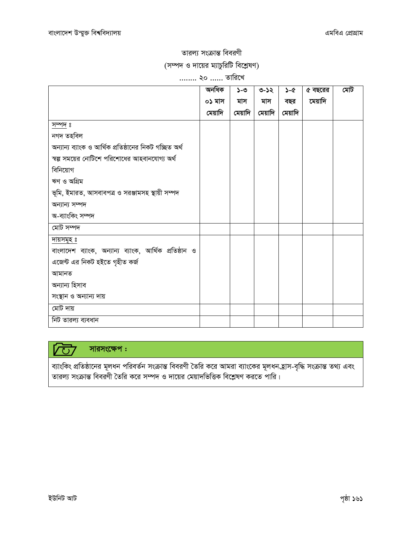## তারল্য সংক্রান্ত বিবরণী (সম্পদ ও দায়ের ম্যাচুরিটি বিশ্লেষণ)

### ........ ২০ ...... তারিখে

|                                                        | অনধিক   | ১-৩     | ৩-১২    | $5-6$   | ৫ বছরের | মেট |
|--------------------------------------------------------|---------|---------|---------|---------|---------|-----|
|                                                        | ০১ মাস  | মাস     | মাস     | বছর     | মেয়াদি |     |
|                                                        | মেয়াদি | মেয়াদি | মেয়াদি | মেয়াদি |         |     |
| সম্পদ ঃ                                                |         |         |         |         |         |     |
| নগদ তহবিল                                              |         |         |         |         |         |     |
| অন্যান্য ব্যাংক ও আৰ্থিক প্ৰতিষ্ঠানের নিকট গচ্ছিত অৰ্থ |         |         |         |         |         |     |
| স্বল্প সময়ের নোটিশে পরিশোধের আহবানযোগ্য অর্থ          |         |         |         |         |         |     |
| বিনিয়োগ                                               |         |         |         |         |         |     |
| ঋণ ও অগ্রিম                                            |         |         |         |         |         |     |
| ভূমি, ইমারত, আসবাবপত্র ও সরঞ্জামসহ স্থায়ী সম্পদ       |         |         |         |         |         |     |
| অন্যান্য সম্পদ                                         |         |         |         |         |         |     |
| অ-ব্যাংকিং সম্পদ                                       |         |         |         |         |         |     |
| মোট সম্পদ                                              |         |         |         |         |         |     |
| দায়সমূহ ঃ                                             |         |         |         |         |         |     |
| বাংলাদেশ ব্যাংক, অন্যান্য ব্যাংক, আৰ্থিক প্ৰতিষ্ঠান ও  |         |         |         |         |         |     |
| এজেন্ট এর নিকট হইতে গৃহীত কর্জ                         |         |         |         |         |         |     |
| আমানত                                                  |         |         |         |         |         |     |
| অন্যান্য হিসাব                                         |         |         |         |         |         |     |
| সংস্থান ও অন্যান্য দায়                                |         |         |         |         |         |     |
| মোট দায়                                               |         |         |         |         |         |     |
| নিট তারল্য ব্যবধান                                     |         |         |         |         |         |     |

#### সারসংক্ষেপ:  $V\overrightarrow{C}$

ব্যাংকিং প্রতিষ্ঠানের মূলধন পরিবর্তন সংক্রান্ত বিবরণী তৈরি করে আমরা ব্যাংকের মূলধন হ্রাস-বৃদ্ধি সংক্রান্ত তথ্য এবং<br>তারল্য সংক্রান্ত বিবরণী তৈরি করে সম্পদ ও দায়ের মেয়াদভিত্তিক বিশ্লেষণ করতে পারি।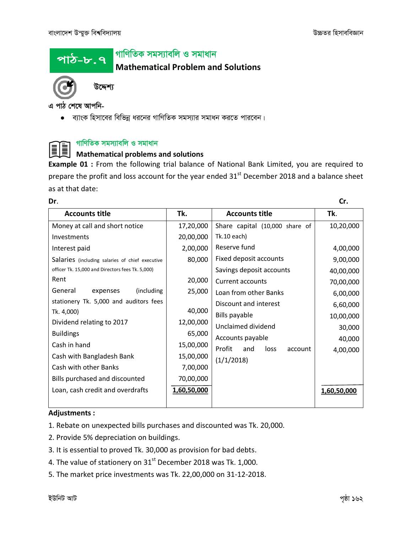<u>পাঠ-৮.৭</u>

## *পা*ণিতিক সমস্যাবলি ও সমাধান

**Mathematical Problem and Solutions**



*D‡Ïk¨*

এ পাঠ শেষে আপনি-

 $\bullet$  ব্যাংক হিসাবের বিভিন্ন ধরনের গাণিতিক সমস্যার সমাধন করতে পারবেন।

### *পাণি*তিক সমস্যাবলি ও সমাধান

### II **Mathematical problems and solutions**

**Example 01 :** From the following trial balance of National Bank Limited, you are required to prepare the profit and loss account for the year ended  $31<sup>st</sup>$  December 2018 and a balance sheet as at that date:

| Dr.                                              |             |                                  | Cr.         |
|--------------------------------------------------|-------------|----------------------------------|-------------|
| <b>Accounts title</b>                            | Tk.         | <b>Accounts title</b>            | Tk.         |
| Money at call and short notice                   | 17,20,000   | Share capital (10,000 share of   | 10,20,000   |
| Investments                                      | 20,00,000   | Tk.10 each)                      |             |
| Interest paid                                    | 2,00,000    | Reserve fund                     | 4,00,000    |
| Salaries (including salaries of chief executive  | 80,000      | Fixed deposit accounts           | 9,00,000    |
| officer Tk. 15,000 and Directors fees Tk. 5,000) |             | Savings deposit accounts         | 40,00,000   |
| Rent                                             | 20,000      | Current accounts                 | 70,00,000   |
| General<br>(including)<br>expenses               | 25,000      | Loan from other Banks            | 6,00,000    |
| stationery Tk. 5,000 and auditors fees           |             | Discount and interest            | 6,60,000    |
| Tk. 4,000)                                       | 40,000      | Bills payable                    | 10,00,000   |
| Dividend relating to 2017                        | 12,00,000   | Unclaimed dividend               | 30,000      |
| <b>Buildings</b>                                 | 65,000      | Accounts payable                 | 40,000      |
| Cash in hand                                     | 15,00,000   | Profit<br>and<br>loss<br>account | 4,00,000    |
| Cash with Bangladesh Bank                        | 15,00,000   | (1/1/2018)                       |             |
| Cash with other Banks                            | 7,00,000    |                                  |             |
| Bills purchased and discounted                   | 70,00,000   |                                  |             |
| Loan, cash credit and overdrafts                 | 1,60,50,000 |                                  | 1,60,50,000 |
|                                                  |             |                                  |             |

### **Adjustments :**

- 1. Rebate on unexpected bills purchases and discounted was Tk. 20,000.
- 2. Provide 5% depreciation on buildings.
- 3. It is essential to proved Tk. 30,000 as provision for bad debts.
- 4. The value of stationery on 31<sup>st</sup> December 2018 was Tk. 1,000.
- 5. The market price investments was Tk. 22,00,000 on 31-12-2018.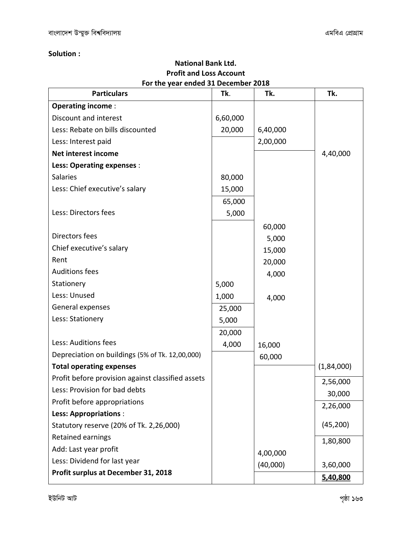### **Solution :**

| <b>Profit and Loss Account</b>                            |          |          |            |  |  |
|-----------------------------------------------------------|----------|----------|------------|--|--|
| For the year ended 31 December 2018<br><b>Particulars</b> | Tk.      | Tk.      | Tk.        |  |  |
|                                                           |          |          |            |  |  |
| <b>Operating income:</b>                                  |          |          |            |  |  |
| Discount and interest                                     | 6,60,000 |          |            |  |  |
| Less: Rebate on bills discounted                          | 20,000   | 6,40,000 |            |  |  |
| Less: Interest paid                                       |          | 2,00,000 |            |  |  |
| Net interest income                                       |          |          | 4,40,000   |  |  |
| <b>Less: Operating expenses:</b>                          |          |          |            |  |  |
| <b>Salaries</b>                                           | 80,000   |          |            |  |  |
| Less: Chief executive's salary                            | 15,000   |          |            |  |  |
|                                                           | 65,000   |          |            |  |  |
| Less: Directors fees                                      | 5,000    |          |            |  |  |
|                                                           |          | 60,000   |            |  |  |
| Directors fees                                            |          | 5,000    |            |  |  |
| Chief executive's salary                                  |          | 15,000   |            |  |  |
| Rent                                                      |          | 20,000   |            |  |  |
| <b>Auditions fees</b>                                     |          | 4,000    |            |  |  |
| Stationery                                                | 5,000    |          |            |  |  |
| Less: Unused                                              | 1,000    | 4,000    |            |  |  |
| General expenses                                          | 25,000   |          |            |  |  |
| Less: Stationery                                          | 5,000    |          |            |  |  |
|                                                           | 20,000   |          |            |  |  |
| Less: Auditions fees                                      | 4,000    | 16,000   |            |  |  |
| Depreciation on buildings (5% of Tk. 12,00,000)           |          | 60,000   |            |  |  |
| <b>Total operating expenses</b>                           |          |          | (1,84,000) |  |  |
| Profit before provision against classified assets         |          |          | 2,56,000   |  |  |
| Less: Provision for bad debts                             |          |          | 30,000     |  |  |
| Profit before appropriations                              |          |          | 2,26,000   |  |  |
| <b>Less: Appropriations:</b>                              |          |          |            |  |  |
| Statutory reserve (20% of Tk. 2,26,000)                   |          |          | (45, 200)  |  |  |
| Retained earnings                                         |          |          | 1,80,800   |  |  |
| Add: Last year profit                                     |          | 4,00,000 |            |  |  |
| Less: Dividend for last year                              |          | (40,000) | 3,60,000   |  |  |
| Profit surplus at December 31, 2018                       |          |          | 5,40,800   |  |  |

**National Bank Ltd.**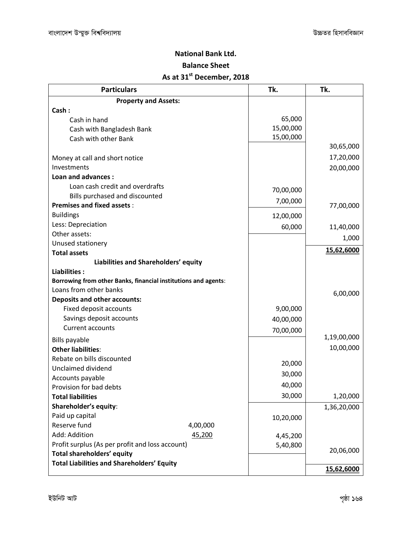### **National Bank Ltd.**

### **Balance Sheet**

## **As at 31st December, 2018**

| <b>Particulars</b>                                             | Tk.       | Tk.         |
|----------------------------------------------------------------|-----------|-------------|
| <b>Property and Assets:</b>                                    |           |             |
| Cash:                                                          |           |             |
| Cash in hand                                                   | 65,000    |             |
| Cash with Bangladesh Bank                                      | 15,00,000 |             |
| Cash with other Bank                                           | 15,00,000 |             |
|                                                                |           | 30,65,000   |
| Money at call and short notice                                 |           | 17,20,000   |
| Investments                                                    |           | 20,00,000   |
| Loan and advances:                                             |           |             |
| Loan cash credit and overdrafts                                | 70,00,000 |             |
| Bills purchased and discounted                                 | 7,00,000  |             |
| <b>Premises and fixed assets:</b>                              |           | 77,00,000   |
| <b>Buildings</b>                                               | 12,00,000 |             |
| Less: Depreciation                                             | 60,000    | 11,40,000   |
| Other assets:                                                  |           | 1,000       |
| Unused stationery                                              |           |             |
| <b>Total assets</b>                                            |           | 15,62,6000  |
| Liabilities and Shareholders' equity                           |           |             |
| Liabilities:                                                   |           |             |
| Borrowing from other Banks, financial institutions and agents: |           |             |
| Loans from other banks                                         |           | 6,00,000    |
| <b>Deposits and other accounts:</b>                            |           |             |
| Fixed deposit accounts                                         | 9,00,000  |             |
| Savings deposit accounts                                       | 40,00,000 |             |
| <b>Current accounts</b>                                        | 70,00,000 |             |
| <b>Bills payable</b>                                           |           | 1,19,00,000 |
| <b>Other liabilities:</b>                                      |           | 10,00,000   |
| Rebate on bills discounted                                     | 20,000    |             |
| Unclaimed dividend                                             | 30,000    |             |
| Accounts payable                                               |           |             |
| Provision for bad debts                                        | 40,000    |             |
| <b>Total liabilities</b>                                       | 30,000    | 1,20,000    |
| Shareholder's equity:                                          |           | 1,36,20,000 |
| Paid up capital                                                | 10,20,000 |             |
| Reserve fund<br>4,00,000                                       |           |             |
| Add: Addition<br>45,200                                        | 4,45,200  |             |
| Profit surplus (As per profit and loss account)                | 5,40,800  | 20,06,000   |
| Total shareholders' equity                                     |           |             |
| <b>Total Liabilities and Shareholders' Equity</b>              |           | 15,62,6000  |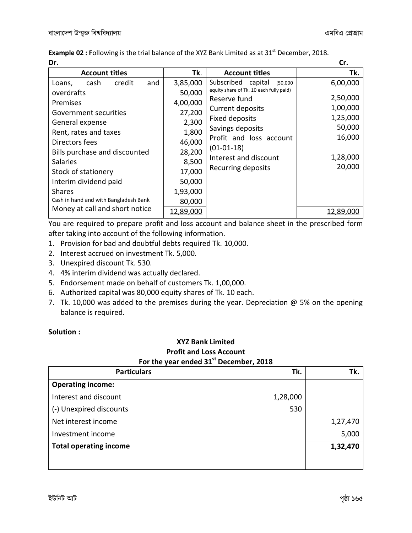**Example 02 : Following** is the trial balance of the XYZ Bank Limited as at 31<sup>st</sup> December, 2018. **Dr. Cr.**

| .                                     |                  |                                         | w.        |
|---------------------------------------|------------------|-----------------------------------------|-----------|
| <b>Account titles</b>                 | Tk.              | <b>Account titles</b>                   | Tk.       |
| credit<br>cash<br>and<br>Loans,       | 3,85,000         | Subscribed<br>capital<br>(50,000)       | 6,00,000  |
| overdrafts                            | 50,000           | equity share of Tk. 10 each fully paid) |           |
| Premises                              | 4,00,000         | Reserve fund                            | 2,50,000  |
| Government securities                 | 27,200           | Current deposits                        | 1,00,000  |
|                                       |                  | <b>Fixed deposits</b>                   | 1,25,000  |
| General expense                       | 2,300            | Savings deposits                        | 50,000    |
| Rent, rates and taxes                 | 1,800            | Profit and loss account                 | 16,000    |
| Directors fees                        | 46,000           |                                         |           |
| Bills purchase and discounted         | 28,200           | $(01-01-18)$                            |           |
| <b>Salaries</b>                       | 8,500            | Interest and discount                   | 1,28,000  |
| Stock of stationery                   | 17,000           | Recurring deposits                      | 20,000    |
| Interim dividend paid                 | 50,000           |                                         |           |
| <b>Shares</b>                         | 1,93,000         |                                         |           |
| Cash in hand and with Bangladesh Bank | 80,000           |                                         |           |
| Money at call and short notice        | <u>12,89,000</u> |                                         | 12.89.000 |

You are required to prepare profit and loss account and balance sheet in the prescribed form after taking into account of the following information.

- 1. Provision for bad and doubtful debts required Tk. 10,000.
- 2. Interest accrued on investment Tk. 5,000.
- 3. Unexpired discount Tk. 530.
- 4. 4% interim dividend was actually declared.
- 5. Endorsement made on behalf of customers Tk. 1,00,000.
- 6. Authorized capital was 80,000 equity shares of Tk. 10 each.
- 7. Tk. 10,000 was added to the premises during the year. Depreciation  $@$  5% on the opening balance is required.

### **Solution :**

### **XYZ Bank Limited Profit and Loss Account For the year ended 31st December, 2018**

| Tk.      | Tk.      |
|----------|----------|
|          |          |
| 1,28,000 |          |
| 530      |          |
|          | 1,27,470 |
|          | 5,000    |
|          | 1,32,470 |
|          |          |
|          |          |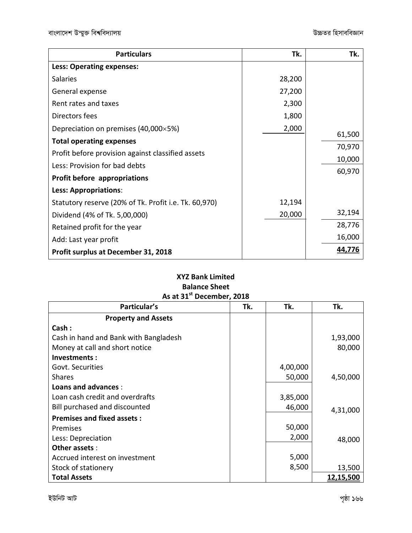| <b>Particulars</b>                                    | Tk.    | Tk.    |
|-------------------------------------------------------|--------|--------|
| Less: Operating expenses:                             |        |        |
| <b>Salaries</b>                                       | 28,200 |        |
| General expense                                       | 27,200 |        |
| Rent rates and taxes                                  | 2,300  |        |
| Directors fees                                        | 1,800  |        |
| Depreciation on premises (40,000×5%)                  | 2,000  | 61,500 |
| <b>Total operating expenses</b>                       |        | 70,970 |
| Profit before provision against classified assets     |        | 10,000 |
| Less: Provision for bad debts                         |        | 60,970 |
| <b>Profit before appropriations</b>                   |        |        |
| <b>Less: Appropriations:</b>                          |        |        |
| Statutory reserve (20% of Tk. Profit i.e. Tk. 60,970) | 12,194 |        |
| Dividend (4% of Tk. 5,00,000)                         | 20,000 | 32,194 |
| Retained profit for the year                          |        | 28,776 |
| Add: Last year profit                                 |        | 16,000 |
| <b>Profit surplus at December 31, 2018</b>            |        |        |

### **XYZ Bank Limited Balance Sheet As at 31st December, 2018**

| Particular's                          | Tk. | Tk.      | Tk.       |
|---------------------------------------|-----|----------|-----------|
| <b>Property and Assets</b>            |     |          |           |
| Cash:                                 |     |          |           |
| Cash in hand and Bank with Bangladesh |     |          | 1,93,000  |
| Money at call and short notice        |     |          | 80,000    |
| Investments:                          |     |          |           |
| Govt. Securities                      |     | 4,00,000 |           |
| <b>Shares</b>                         |     | 50,000   | 4,50,000  |
| Loans and advances :                  |     |          |           |
| Loan cash credit and overdrafts       |     | 3,85,000 |           |
| Bill purchased and discounted         |     | 46,000   | 4,31,000  |
| <b>Premises and fixed assets:</b>     |     |          |           |
| Premises                              |     | 50,000   |           |
| Less: Depreciation                    |     | 2,000    | 48,000    |
| Other assets :                        |     |          |           |
| Accrued interest on investment        |     | 5,000    |           |
| Stock of stationery                   |     | 8,500    | 13,500    |
| <b>Total Assets</b>                   |     |          | 12,15,500 |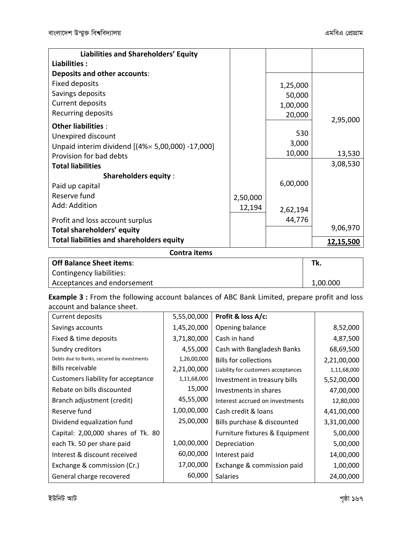| Liabilities and Shareholders' Equity              |          |          |           |
|---------------------------------------------------|----------|----------|-----------|
| Liabilities:                                      |          |          |           |
| <b>Deposits and other accounts:</b>               |          |          |           |
| Fixed deposits                                    |          | 1,25,000 |           |
| Savings deposits                                  |          | 50,000   |           |
| Current deposits                                  |          | 1,00,000 |           |
| Recurring deposits                                |          | 20,000   |           |
| <b>Other liabilities:</b>                         |          |          | 2,95,000  |
| Unexpired discount                                |          | 530      |           |
| Unpaid interim dividend [(4% × 5,00,000) -17,000] |          | 3,000    |           |
| Provision for bad debts                           |          | 10,000   | 13,530    |
| <b>Total liabilities</b>                          |          |          | 3,08,530  |
| <b>Shareholders equity:</b>                       |          |          |           |
| Paid up capital                                   |          | 6,00,000 |           |
| Reserve fund                                      | 2,50,000 |          |           |
| Add: Addition                                     | 12,194   | 2,62,194 |           |
| Profit and loss account surplus                   |          | 44,776   |           |
| Total shareholders' equity                        |          |          | 9,06,970  |
| <b>Total liabilities and shareholders equity</b>  |          |          |           |
|                                                   |          |          | 12,15,500 |
| Contra items                                      |          |          |           |

| <b>Off Balance Sheet items:</b> | Tk.      |
|---------------------------------|----------|
| Contingency liabilities:        |          |
| Acceptances and endorsement     | 1,00.000 |

**Example 3 :** From the following account balances of ABC Bank Limited, prepare profit and loss account and balance sheet.

| Current deposits                           | 5,55,00,000 | Profit & loss A/c:                  |             |
|--------------------------------------------|-------------|-------------------------------------|-------------|
| Savings accounts                           | 1,45,20,000 | Opening balance                     | 8,52,000    |
| Fixed & time deposits                      | 3,71,80,000 | Cash in hand                        | 4,87,500    |
| Sundry creditors                           | 4,55,000    | Cash with Bangladesh Banks          | 68,69,500   |
| Debts due to Banks, secured by investments | 1,26,00,000 | <b>Bills for collections</b>        | 2,21,00,000 |
| <b>Bills receivable</b>                    | 2,21,00,000 | Liability for customers acceptances | 1,11,68,000 |
| Customers liability for acceptance         | 1,11,68,000 | Investment in treasury bills        | 5,52,00,000 |
| Rebate on bills discounted                 | 15,000      | Investments in shares               | 47,00,000   |
| Branch adjustment (credit)                 | 45,55,000   | Interest accrued on investments     | 12,80,000   |
| Reserve fund                               | 1,00,00,000 | Cash credit & loans                 | 4,41,00,000 |
| Dividend equalization fund                 | 25,00,000   | Bills purchase & discounted         | 3,31,00,000 |
| Capital: 2,00,000 shares of Tk. 80         |             | Furniture fixtures & Equipment      | 5,00,000    |
| each Tk. 50 per share paid                 | 1,00,00,000 | Depreciation                        | 5,00,000    |
| Interest & discount received               | 60,00,000   | Interest paid                       | 14,00,000   |
| Exchange & commission (Cr.)                | 17,00,000   | Exchange & commission paid          | 1,00,000    |
| General charge recovered                   | 60,000      | <b>Salaries</b>                     | 24,00,000   |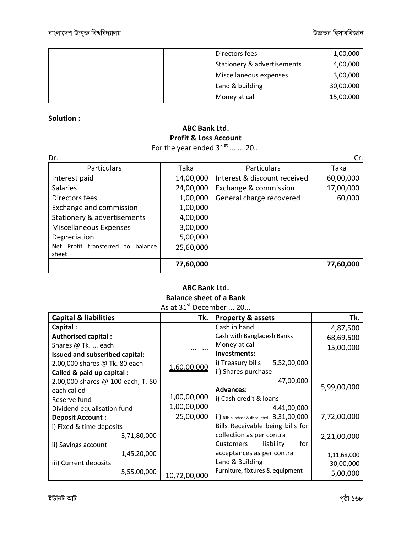| Directors fees              | 1,00,000  |
|-----------------------------|-----------|
| Stationery & advertisements | 4,00,000  |
| Miscellaneous expenses      | 3,00,000  |
| Land & building             | 30,00,000 |
| Money at call               | 15,00,000 |

### **Solution :**

## **ABC Bank Ltd. Profit & Loss Account**

For the year ended  $31<sup>st</sup>$  ... ... 20...

| Dr.                               |           |                              | Cr.       |
|-----------------------------------|-----------|------------------------------|-----------|
| Particulars                       | Taka      | Particulars                  | Taka      |
| Interest paid                     | 14,00,000 | Interest & discount received | 60,00,000 |
| <b>Salaries</b>                   | 24,00,000 | Exchange & commission        | 17,00,000 |
| Directors fees                    | 1,00,000  | General charge recovered     | 60,000    |
| Exchange and commission           | 1,00,000  |                              |           |
| Stationery & advertisements       | 4,00,000  |                              |           |
| Miscellaneous Expenses            | 3,00,000  |                              |           |
| Depreciation                      | 5,00,000  |                              |           |
| Net Profit transferred to balance | 25,60,000 |                              |           |
| sheet                             |           |                              |           |
|                                   | 77,60,000 |                              | 77,60,000 |

### **ABC Bank Ltd. Balance sheet of a Bank**

|  | As at $31^{st}$ December  20 |  |
|--|------------------------------|--|
|  |                              |  |

| <b>Capital &amp; liabilities</b>  | Tk.          | <b>Property &amp; assets</b>                                | Tk.         |
|-----------------------------------|--------------|-------------------------------------------------------------|-------------|
| Capital:                          |              | Cash in hand                                                | 4,87,500    |
| <b>Authorised capital:</b>        |              | Cash with Bangladesh Banks                                  | 68,69,500   |
| Shares @ Tk.  each                | <u> </u>     | Money at call                                               | 15,00,000   |
| Issued and subseribed capital:    |              | Investments:                                                |             |
| 2,00,000 shares @ Tk. 80 each     | 1,60,00,000  | 5,52,00,000<br>i) Treasury bills                            |             |
| Called & paid up capital :        |              | ii) Shares purchase                                         |             |
| 2,00,000 shares @ 100 each, T. 50 |              | 47,00,000                                                   |             |
| each called                       |              | <b>Advances:</b>                                            | 5,99,00,000 |
| Reserve fund                      | 1,00,00,000  | i) Cash credit & loans                                      |             |
| Dividend equalisation fund        | 1,00,00,000  | 4,41,00,000                                                 |             |
| <b>Deposit Account:</b>           | 25,00,000    | $\overline{11}$ ) Bills purchase & discounted $3,31,00,000$ | 7,72,00,000 |
| i) Fixed & time deposits          |              | Bills Receivable being bills for                            |             |
| 3,71,80,000                       |              | collection as per contra                                    | 2,21,00,000 |
| ii) Savings account               |              | for<br>liability<br>Customers                               |             |
| 1,45,20,000                       |              | acceptances as per contra                                   | 1,11,68,000 |
| iii) Current deposits             |              | Land & Building                                             | 30,00,000   |
| 5,55,00,000                       | 10,72,00,000 | Furniture, fixtures & equipment                             | 5,00,000    |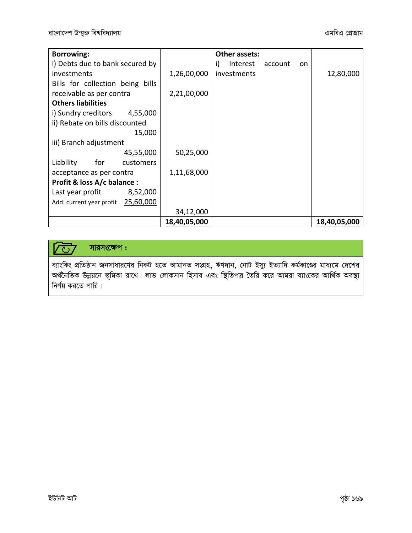| <b>Borrowing:</b>                  |              | Other assets:                          |              |
|------------------------------------|--------------|----------------------------------------|--------------|
| i) Debts due to bank secured by    |              | Interest<br>i)<br>account<br><b>on</b> |              |
| investments                        | 1,26,00,000  | investments                            | 12,80,000    |
| Bills for collection being bills   |              |                                        |              |
| receivable as per contra           | 2,21,00,000  |                                        |              |
| <b>Others liabilities</b>          |              |                                        |              |
| i) Sundry creditors 4,55,000       |              |                                        |              |
| ii) Rebate on bills discounted     |              |                                        |              |
| 15,000                             |              |                                        |              |
| iii) Branch adjustment             |              |                                        |              |
| 45,55,000                          | 50,25,000    |                                        |              |
| Liability<br>for<br>customers      |              |                                        |              |
| acceptance as per contra           | 1,11,68,000  |                                        |              |
| Profit & loss A/c balance :        |              |                                        |              |
| Last year profit<br>8,52,000       |              |                                        |              |
| Add: current year profit 25,60,000 |              |                                        |              |
|                                    | 34,12,000    |                                        |              |
|                                    | 18,40,05,000 |                                        | 18,40,05,000 |

### $\sqrt{\text{C}}$ সারসংক্ষেপ:

ব্যাংকিং প্রতিষ্ঠান জনসাধারণের নিকট হতে আমানত সংগ্রহ, ঋণদান, নোট ইস্যু ইত্যাদি কর্মকাণ্ডের মাধ্যমে দেশের<br>অর্থনৈতিক উন্নয়নে ভূমিকা রাখে। লাভ লোকসান হিসাব এবং স্থিতিপত্র তৈরি করে আমরা ব্যাংকের আর্থিক অবস্থা নির্ণয় করতে পারি।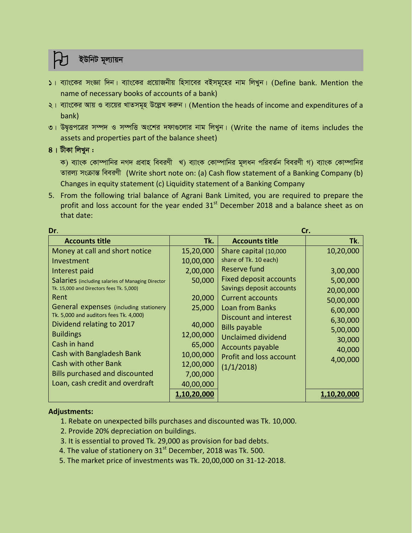### *ইউনিট মুল্যায়ন*

- *1| e¨vs‡Ki msÁv w`b| e¨vs‡Ki cÖ‡qvRbxq wnmv‡ei eBmg~‡ni bvg wjLyb| (*Define bank. Mention the name of necessary books of accounts of a bank)
- *2| e¨vs‡Ki Avq I e¨‡qi LvZmg~n D‡jøL Kiæb| (*Mention the heads of income and expenditures of a bank)
- *3| DØ"Ëc‡Îi m¤ú` I m¤úwË As‡ki `dv¸‡jvi bvg wjLyb| (*Write the name of items includes the assets and properties part of the balance sheet)
- $8$  | টীকা লিখন :

ক) ব্যাংক কোম্পানির নগদ প্রবাহ বিবরণী খ) ব্যাংক কোম্পানির মূলধন পরিবর্তন বিবরণী গ) ব্যাংক কোম্পানির *Zvij¨ msµvšÍ weeiYx* (Write short note on: (a) Cash flow statement of a Banking Company (b) Changes in equity statement (c) Liquidity statement of a Banking Company

5. From the following trial balance of Agrani Bank Limited, you are required to prepare the profit and loss account for the year ended  $31<sup>st</sup>$  December 2018 and a balance sheet as on that date:

| Dr.<br>Cr.                                        |                    |                                |             |
|---------------------------------------------------|--------------------|--------------------------------|-------------|
| <b>Accounts title</b>                             | Tk.                | <b>Accounts title</b>          | Tk.         |
| Money at call and short notice                    | 15,20,000          | Share capital (10,000          | 10,20,000   |
| Investment                                        | 10,00,000          | share of Tk. 10 each)          |             |
| Interest paid                                     | 2,00,000           | Reserve fund                   | 3,00,000    |
| Salaries (including salaries of Managing Director | 50,000             | <b>Fixed deposit accounts</b>  | 5,00,000    |
| Tk. 15,000 and Directors fees Tk. 5,000)          |                    | Savings deposit accounts       | 20,00,000   |
| Rent                                              | 20,000             | <b>Current accounts</b>        | 50,00,000   |
| General expenses (including stationery            | 25,000             | <b>Loan from Banks</b>         | 6,00,000    |
| Tk. 5,000 and auditors fees Tk. 4,000)            |                    | <b>Discount and interest</b>   | 6,30,000    |
| Dividend relating to 2017                         | 40,000             | <b>Bills payable</b>           | 5,00,000    |
| <b>Buildings</b>                                  | 12,00,000          | Unclaimed dividend             | 30,000      |
| Cash in hand                                      | 65,000             | Accounts payable               | 40,000      |
| Cash with Bangladesh Bank                         | 10,00,000          | <b>Profit and loss account</b> | 4,00,000    |
| Cash with other Bank                              | 12,00,000          | (1/1/2018)                     |             |
| <b>Bills purchased and discounted</b>             | 7,00,000           |                                |             |
| Loan, cash credit and overdraft                   | 40,00,000          |                                |             |
|                                                   | <u>1,10,20,000</u> |                                | 1,10,20,000 |

### **Adjustments:**

- 1. Rebate on unexpected bills purchases and discounted was Tk. 10,000.
- 2. Provide 20% depreciation on buildings.
- 3. It is essential to proved Tk. 29,000 as provision for bad debts.
- 4. The value of stationery on  $31<sup>st</sup>$  December, 2018 was Tk. 500.
- 5. The market price of investments was Tk. 20,00,000 on 31-12-2018.